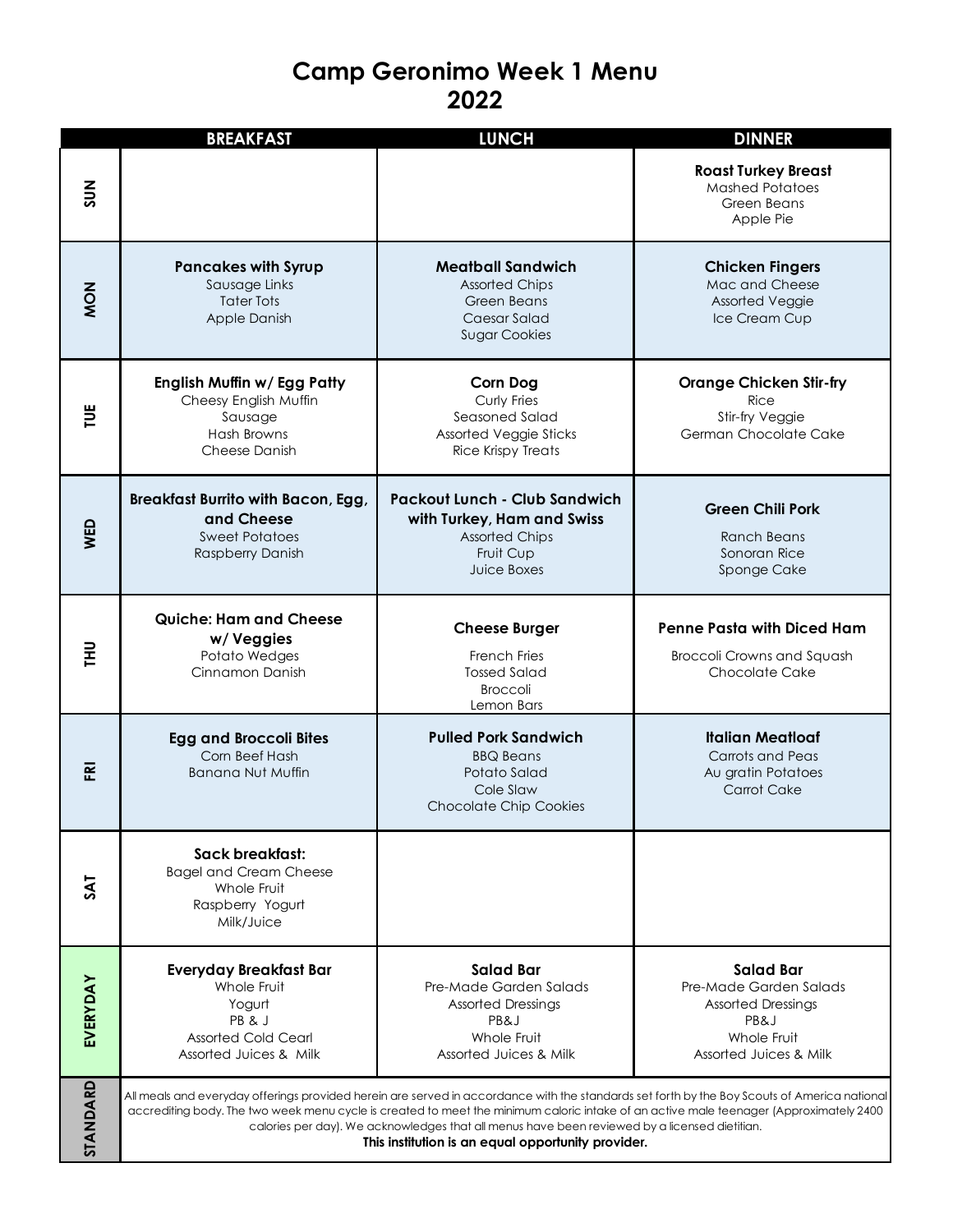## **Camp Geronimo Week 1 Menu 2022**

|              | <b>BREAKFAST</b>                                                                                                                                                                                                                                                                                                                                                                                                                              | <b>LUNCH</b>                                                                                                             | <b>DINNER</b>                                                                                                            |
|--------------|-----------------------------------------------------------------------------------------------------------------------------------------------------------------------------------------------------------------------------------------------------------------------------------------------------------------------------------------------------------------------------------------------------------------------------------------------|--------------------------------------------------------------------------------------------------------------------------|--------------------------------------------------------------------------------------------------------------------------|
| $rac{2}{50}$ |                                                                                                                                                                                                                                                                                                                                                                                                                                               |                                                                                                                          | <b>Roast Turkey Breast</b><br><b>Mashed Potatoes</b><br>Green Beans<br>Apple Pie                                         |
| <b>NON</b>   | <b>Pancakes with Syrup</b><br>Sausage Links<br>Tater Tots<br>Apple Danish                                                                                                                                                                                                                                                                                                                                                                     | <b>Meatball Sandwich</b><br><b>Assorted Chips</b><br>Green Beans<br>Caesar Salad<br><b>Sugar Cookies</b>                 | <b>Chicken Fingers</b><br>Mac and Cheese<br><b>Assorted Veggie</b><br>Ice Cream Cup                                      |
| 븰            | English Muffin w/ Egg Patty<br>Cheesy English Muffin<br>Sausage<br>Hash Browns<br>Cheese Danish                                                                                                                                                                                                                                                                                                                                               | <b>Corn Dog</b><br>Curly Fries<br>Seasoned Salad<br>Assorted Veggie Sticks<br><b>Rice Krispy Treats</b>                  | <b>Orange Chicken Stir-fry</b><br>Rice<br>Stir-fry Veggie<br>German Chocolate Cake                                       |
| <b>NED</b>   | <b>Breakfast Burrito with Bacon, Egg,</b><br>and Cheese<br><b>Sweet Potatoes</b><br>Raspberry Danish                                                                                                                                                                                                                                                                                                                                          | <b>Packout Lunch - Club Sandwich</b><br>with Turkey, Ham and Swiss<br><b>Assorted Chips</b><br>Fruit Cup<br>Juice Boxes  | <b>Green Chili Pork</b><br>Ranch Beans<br>Sonoran Rice<br>Sponge Cake                                                    |
| 로            | <b>Quiche: Ham and Cheese</b><br>w/Veggies<br>Potato Wedges<br>Cinnamon Danish                                                                                                                                                                                                                                                                                                                                                                | <b>Cheese Burger</b><br>French Fries<br><b>Tossed Salad</b><br><b>Broccoli</b><br>Lemon Bars                             | <b>Penne Pasta with Diced Ham</b><br>Broccoli Crowns and Squash<br><b>Chocolate Cake</b>                                 |
| 훈            | <b>Egg and Broccoli Bites</b><br>Corn Beef Hash<br><b>Banana Nut Muffin</b>                                                                                                                                                                                                                                                                                                                                                                   | <b>Pulled Pork Sandwich</b><br><b>BBQ Beans</b><br>Potato Salad<br>Cole Slaw<br><b>Chocolate Chip Cookies</b>            | <b>Italian Meatloaf</b><br>Carrots and Peas<br>Au gratin Potatoes<br>Carrot Cake                                         |
|              | Sack breakfast:<br><b>Bagel and Cream Cheese</b><br>Whole Fruit<br>Raspberry Yogurt<br>Milk/Juice                                                                                                                                                                                                                                                                                                                                             |                                                                                                                          |                                                                                                                          |
| EVERYDAY     | <b>Everyday Breakfast Bar</b><br>Whole Fruit<br>Yogurt<br>PB& J<br><b>Assorted Cold Cearl</b><br>Assorted Juices & Milk                                                                                                                                                                                                                                                                                                                       | <b>Salad Bar</b><br>Pre-Made Garden Salads<br><b>Assorted Dressings</b><br>PB&J<br>Whole Fruit<br>Assorted Juices & Milk | <b>Salad Bar</b><br>Pre-Made Garden Salads<br><b>Assorted Dressings</b><br>PB&J<br>Whole Fruit<br>Assorted Juices & Milk |
| STANDARD     | All meals and everyday offerings provided herein are served in accordance with the standards set forth by the Boy Scouts of America national<br>accrediting body. The two week menu cycle is created to meet the minimum caloric intake of an active male teenager (Approximately 2400<br>calories per day). We acknowledges that all menus have been reviewed by a licensed dietitian.<br>This institution is an equal opportunity provider. |                                                                                                                          |                                                                                                                          |